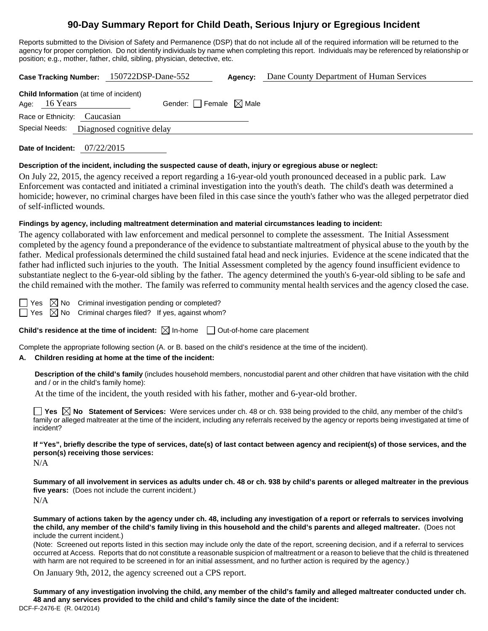# **90-Day Summary Report for Child Death, Serious Injury or Egregious Incident**

Reports submitted to the Division of Safety and Permanence (DSP) that do not include all of the required information will be returned to the agency for proper completion. Do not identify individuals by name when completing this report. Individuals may be referenced by relationship or position; e.g., mother, father, child, sibling, physician, detective, etc.

**Case Tracking Number:** 150722DSP-Dane-552 **Agency:** Dane County Department of Human Services

| <b>Child Information</b> (at time of incident) |               |                                          |                                     |  |  |  |
|------------------------------------------------|---------------|------------------------------------------|-------------------------------------|--|--|--|
|                                                | Age: 16 Years |                                          | Gender: $ $ Female $\boxtimes$ Male |  |  |  |
| Race or Ethnicity: Caucasian                   |               |                                          |                                     |  |  |  |
|                                                |               | Special Needs: Diagnosed cognitive delay |                                     |  |  |  |

**Date of Incident:** 07/22/2015

## **Description of the incident, including the suspected cause of death, injury or egregious abuse or neglect:**

On July 22, 2015, the agency received a report regarding a 16-year-old youth pronounced deceased in a public park. Law Enforcement was contacted and initiated a criminal investigation into the youth's death. The child's death was determined a homicide; however, no criminal charges have been filed in this case since the youth's father who was the alleged perpetrator died of self-inflicted wounds.

## **Findings by agency, including maltreatment determination and material circumstances leading to incident:**

The agency collaborated with law enforcement and medical personnel to complete the assessment. The Initial Assessment completed by the agency found a preponderance of the evidence to substantiate maltreatment of physical abuse to the youth by the father. Medical professionals determined the child sustained fatal head and neck injuries. Evidence at the scene indicated that the father had inflicted such injuries to the youth. The Initial Assessment completed by the agency found insufficient evidence to substantiate neglect to the 6-year-old sibling by the father. The agency determined the youth's 6-year-old sibling to be safe and the child remained with the mother. The family was referred to community mental health services and the agency closed the case.

Yes  $\boxtimes$  No Criminal investigation pending or completed?

 $\Box$  Yes  $\boxtimes$  No Criminal charges filed? If yes, against whom?

**Child's residence at the time of incident:**  $\boxtimes$  In-home  $\Box$  Out-of-home care placement

Complete the appropriate following section (A. or B. based on the child's residence at the time of the incident).

## **A. Children residing at home at the time of the incident:**

**Description of the child's family** (includes household members, noncustodial parent and other children that have visitation with the child and / or in the child's family home):

At the time of the incident, the youth resided with his father, mother and 6-year-old brother.

**Yes No Statement of Services:** Were services under ch. 48 or ch. 938 being provided to the child, any member of the child's family or alleged maltreater at the time of the incident, including any referrals received by the agency or reports being investigated at time of incident?

**If "Yes", briefly describe the type of services, date(s) of last contact between agency and recipient(s) of those services, and the person(s) receiving those services:** 

N/A

**Summary of all involvement in services as adults under ch. 48 or ch. 938 by child's parents or alleged maltreater in the previous five years:** (Does not include the current incident.) N/A

**Summary of actions taken by the agency under ch. 48, including any investigation of a report or referrals to services involving the child, any member of the child's family living in this household and the child's parents and alleged maltreater.** (Does not include the current incident.)

(Note: Screened out reports listed in this section may include only the date of the report, screening decision, and if a referral to services occurred at Access. Reports that do not constitute a reasonable suspicion of maltreatment or a reason to believe that the child is threatened with harm are not required to be screened in for an initial assessment, and no further action is required by the agency.)

On January 9th, 2012, the agency screened out a CPS report.

DCF-F-2476-E (R. 04/2014) **Summary of any investigation involving the child, any member of the child's family and alleged maltreater conducted under ch. 48 and any services provided to the child and child's family since the date of the incident:**